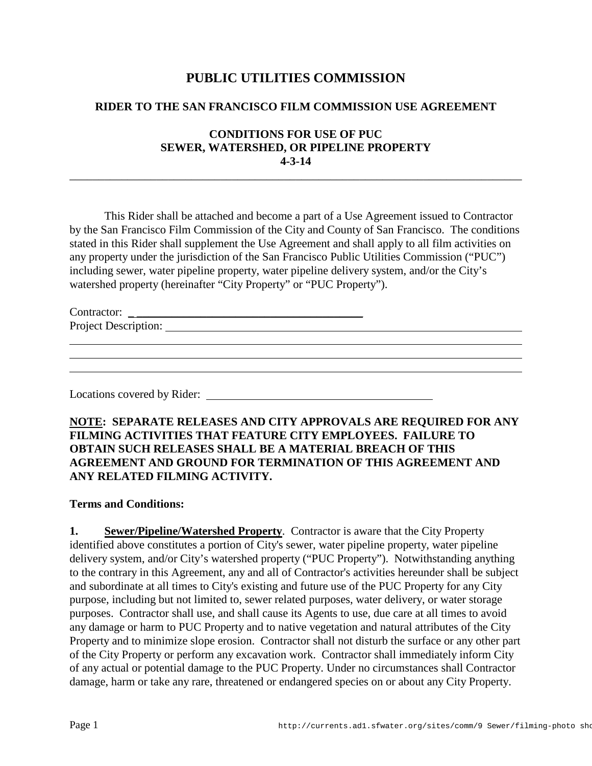# **PUBLIC UTILITIES COMMISSION**

## **RIDER TO THE SAN FRANCISCO FILM COMMISSION USE AGREEMENT**

## **CONDITIONS FOR USE OF PUC SEWER, WATERSHED, OR PIPELINE PROPERTY 4-3-14**

\_\_\_\_\_\_\_\_\_\_\_\_\_\_\_\_\_\_\_\_\_\_\_\_\_\_\_\_\_\_\_\_\_\_\_\_\_\_\_\_\_\_\_\_\_\_\_\_\_\_\_\_\_\_\_\_\_\_\_\_\_\_\_\_\_\_\_\_\_\_\_\_\_\_\_\_\_\_

This Rider shall be attached and become a part of a Use Agreement issued to Contractor by the San Francisco Film Commission of the City and County of San Francisco. The conditions stated in this Rider shall supplement the Use Agreement and shall apply to all film activities on any property under the jurisdiction of the San Francisco Public Utilities Commission ("PUC") including sewer, water pipeline property, water pipeline delivery system, and/or the City's watershed property (hereinafter "City Property" or "PUC Property").

Contractor: \_ \_\_\_\_\_\_\_\_\_\_\_\_\_\_\_\_\_\_\_\_\_\_\_\_\_\_\_\_\_\_\_\_\_\_\_\_\_\_\_

 $\overline{a}$ 

Project Description:

Locations covered by Rider:

## **NOTE: SEPARATE RELEASES AND CITY APPROVALS ARE REQUIRED FOR ANY FILMING ACTIVITIES THAT FEATURE CITY EMPLOYEES. FAILURE TO OBTAIN SUCH RELEASES SHALL BE A MATERIAL BREACH OF THIS AGREEMENT AND GROUND FOR TERMINATION OF THIS AGREEMENT AND ANY RELATED FILMING ACTIVITY.**

#### **Terms and Conditions:**

**1. Sewer/Pipeline/Watershed Property.** Contractor is aware that the City Property identified above constitutes a portion of City's sewer, water pipeline property, water pipeline delivery system, and/or City's watershed property ("PUC Property"). Notwithstanding anything to the contrary in this Agreement, any and all of Contractor's activities hereunder shall be subject and subordinate at all times to City's existing and future use of the PUC Property for any City purpose, including but not limited to, sewer related purposes, water delivery, or water storage purposes. Contractor shall use, and shall cause its Agents to use, due care at all times to avoid any damage or harm to PUC Property and to native vegetation and natural attributes of the City Property and to minimize slope erosion. Contractor shall not disturb the surface or any other part of the City Property or perform any excavation work. Contractor shall immediately inform City of any actual or potential damage to the PUC Property. Under no circumstances shall Contractor damage, harm or take any rare, threatened or endangered species on or about any City Property.

 $\overline{a}$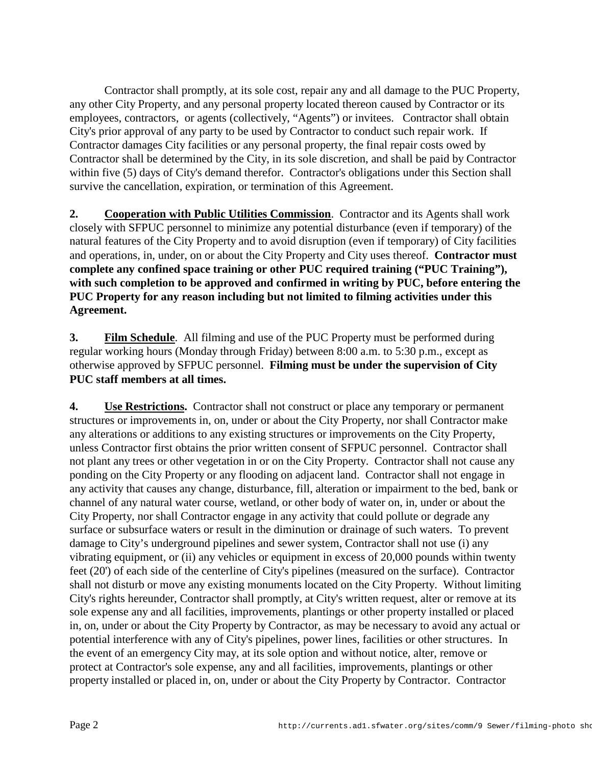Contractor shall promptly, at its sole cost, repair any and all damage to the PUC Property, any other City Property, and any personal property located thereon caused by Contractor or its employees, contractors, or agents (collectively, "Agents") or invitees. Contractor shall obtain City's prior approval of any party to be used by Contractor to conduct such repair work. If Contractor damages City facilities or any personal property, the final repair costs owed by Contractor shall be determined by the City, in its sole discretion, and shall be paid by Contractor within five (5) days of City's demand therefor. Contractor's obligations under this Section shall survive the cancellation, expiration, or termination of this Agreement.

**2. Cooperation with Public Utilities Commission**. Contractor and its Agents shall work closely with SFPUC personnel to minimize any potential disturbance (even if temporary) of the natural features of the City Property and to avoid disruption (even if temporary) of City facilities and operations, in, under, on or about the City Property and City uses thereof. **Contractor must complete any confined space training or other PUC required training ("PUC Training"), with such completion to be approved and confirmed in writing by PUC, before entering the PUC Property for any reason including but not limited to filming activities under this Agreement.**

**3. Film Schedule**. All filming and use of the PUC Property must be performed during regular working hours (Monday through Friday) between 8:00 a.m. to 5:30 p.m., except as otherwise approved by SFPUC personnel. **Filming must be under the supervision of City PUC staff members at all times.**

**4. Use Restrictions.** Contractor shall not construct or place any temporary or permanent structures or improvements in, on, under or about the City Property, nor shall Contractor make any alterations or additions to any existing structures or improvements on the City Property, unless Contractor first obtains the prior written consent of SFPUC personnel. Contractor shall not plant any trees or other vegetation in or on the City Property. Contractor shall not cause any ponding on the City Property or any flooding on adjacent land. Contractor shall not engage in any activity that causes any change, disturbance, fill, alteration or impairment to the bed, bank or channel of any natural water course, wetland, or other body of water on, in, under or about the City Property, nor shall Contractor engage in any activity that could pollute or degrade any surface or subsurface waters or result in the diminution or drainage of such waters. To prevent damage to City's underground pipelines and sewer system, Contractor shall not use (i) any vibrating equipment, or (ii) any vehicles or equipment in excess of 20,000 pounds within twenty feet (20') of each side of the centerline of City's pipelines (measured on the surface). Contractor shall not disturb or move any existing monuments located on the City Property. Without limiting City's rights hereunder, Contractor shall promptly, at City's written request, alter or remove at its sole expense any and all facilities, improvements, plantings or other property installed or placed in, on, under or about the City Property by Contractor, as may be necessary to avoid any actual or potential interference with any of City's pipelines, power lines, facilities or other structures. In the event of an emergency City may, at its sole option and without notice, alter, remove or protect at Contractor's sole expense, any and all facilities, improvements, plantings or other property installed or placed in, on, under or about the City Property by Contractor. Contractor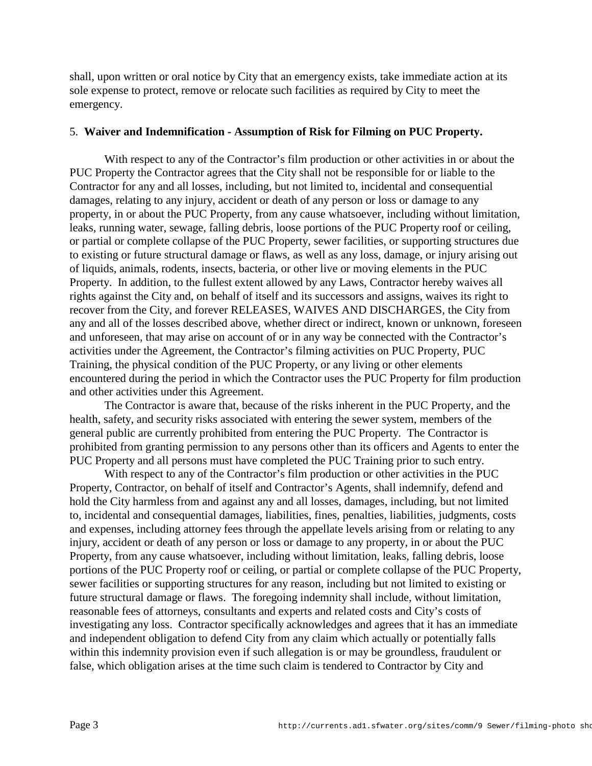shall, upon written or oral notice by City that an emergency exists, take immediate action at its sole expense to protect, remove or relocate such facilities as required by City to meet the emergency.

#### 5. **Waiver and Indemnification - Assumption of Risk for Filming on PUC Property.**

With respect to any of the Contractor's film production or other activities in or about the PUC Property the Contractor agrees that the City shall not be responsible for or liable to the Contractor for any and all losses, including, but not limited to, incidental and consequential damages, relating to any injury, accident or death of any person or loss or damage to any property, in or about the PUC Property, from any cause whatsoever, including without limitation, leaks, running water, sewage, falling debris, loose portions of the PUC Property roof or ceiling, or partial or complete collapse of the PUC Property, sewer facilities, or supporting structures due to existing or future structural damage or flaws, as well as any loss, damage, or injury arising out of liquids, animals, rodents, insects, bacteria, or other live or moving elements in the PUC Property. In addition, to the fullest extent allowed by any Laws, Contractor hereby waives all rights against the City and, on behalf of itself and its successors and assigns, waives its right to recover from the City, and forever RELEASES, WAIVES AND DISCHARGES, the City from any and all of the losses described above, whether direct or indirect, known or unknown, foreseen and unforeseen, that may arise on account of or in any way be connected with the Contractor's activities under the Agreement, the Contractor's filming activities on PUC Property, PUC Training, the physical condition of the PUC Property, or any living or other elements encountered during the period in which the Contractor uses the PUC Property for film production and other activities under this Agreement.

The Contractor is aware that, because of the risks inherent in the PUC Property, and the health, safety, and security risks associated with entering the sewer system, members of the general public are currently prohibited from entering the PUC Property. The Contractor is prohibited from granting permission to any persons other than its officers and Agents to enter the PUC Property and all persons must have completed the PUC Training prior to such entry.

With respect to any of the Contractor's film production or other activities in the PUC Property, Contractor, on behalf of itself and Contractor's Agents, shall indemnify, defend and hold the City harmless from and against any and all losses, damages, including, but not limited to, incidental and consequential damages, liabilities, fines, penalties, liabilities, judgments, costs and expenses, including attorney fees through the appellate levels arising from or relating to any injury, accident or death of any person or loss or damage to any property, in or about the PUC Property, from any cause whatsoever, including without limitation, leaks, falling debris, loose portions of the PUC Property roof or ceiling, or partial or complete collapse of the PUC Property, sewer facilities or supporting structures for any reason, including but not limited to existing or future structural damage or flaws. The foregoing indemnity shall include, without limitation, reasonable fees of attorneys, consultants and experts and related costs and City's costs of investigating any loss. Contractor specifically acknowledges and agrees that it has an immediate and independent obligation to defend City from any claim which actually or potentially falls within this indemnity provision even if such allegation is or may be groundless, fraudulent or false, which obligation arises at the time such claim is tendered to Contractor by City and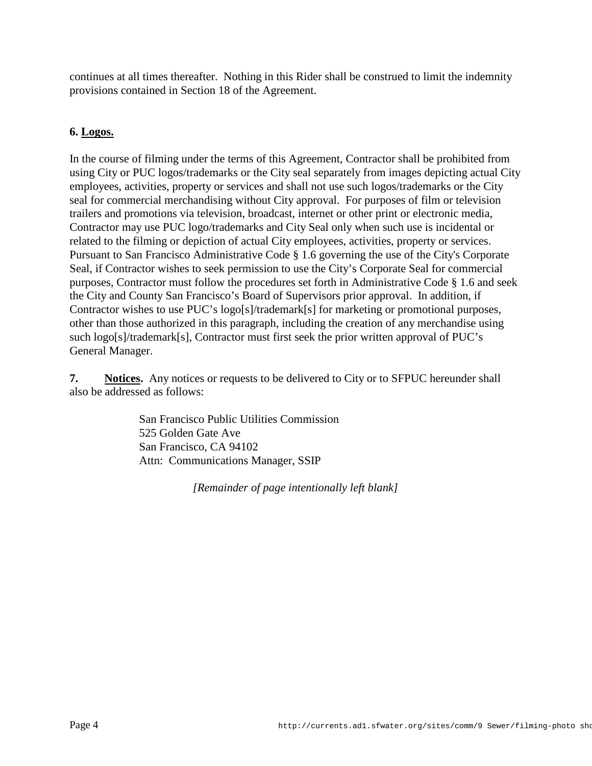continues at all times thereafter. Nothing in this Rider shall be construed to limit the indemnity provisions contained in Section 18 of the Agreement.

## **6. Logos.**

In the course of filming under the terms of this Agreement, Contractor shall be prohibited from using City or PUC logos/trademarks or the City seal separately from images depicting actual City employees, activities, property or services and shall not use such logos/trademarks or the City seal for commercial merchandising without City approval. For purposes of film or television trailers and promotions via television, broadcast, internet or other print or electronic media, Contractor may use PUC logo/trademarks and City Seal only when such use is incidental or related to the filming or depiction of actual City employees, activities, property or services. Pursuant to San Francisco Administrative Code § 1.6 governing the use of the City's Corporate Seal, if Contractor wishes to seek permission to use the City's Corporate Seal for commercial purposes, Contractor must follow the procedures set forth in Administrative Code § 1.6 and seek the City and County San Francisco's Board of Supervisors prior approval. In addition, if Contractor wishes to use PUC's logo[s]/trademark[s] for marketing or promotional purposes, other than those authorized in this paragraph, including the creation of any merchandise using such logo[s]/trademark[s], Contractor must first seek the prior written approval of PUC's General Manager.

**7. Notices.** Any notices or requests to be delivered to City or to SFPUC hereunder shall also be addressed as follows:

> San Francisco Public Utilities Commission 525 Golden Gate Ave San Francisco, CA 94102 Attn: Communications Manager, SSIP

> > *[Remainder of page intentionally left blank]*